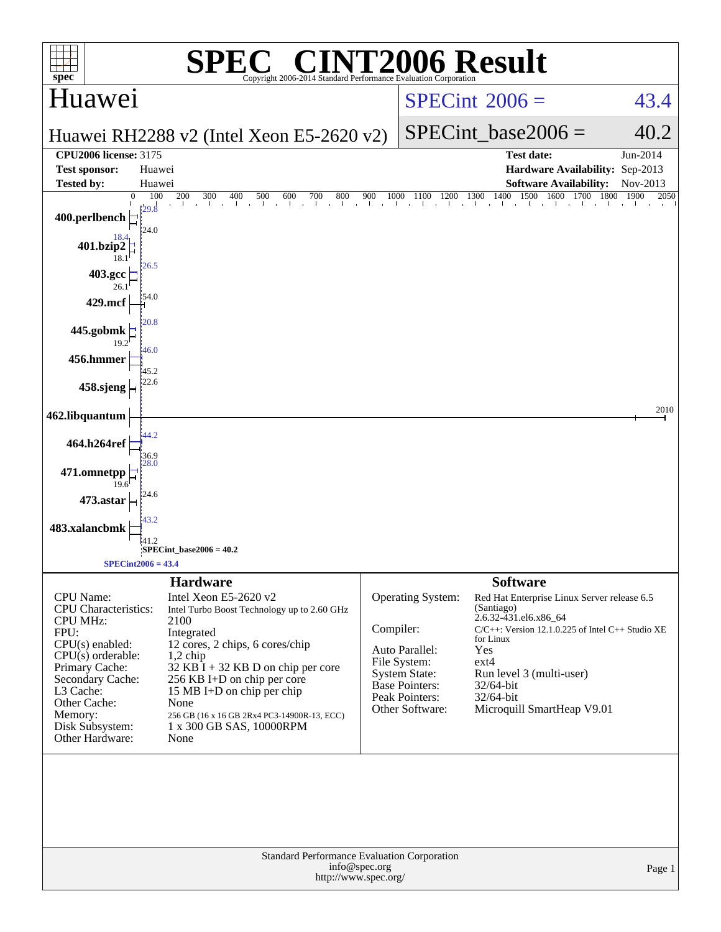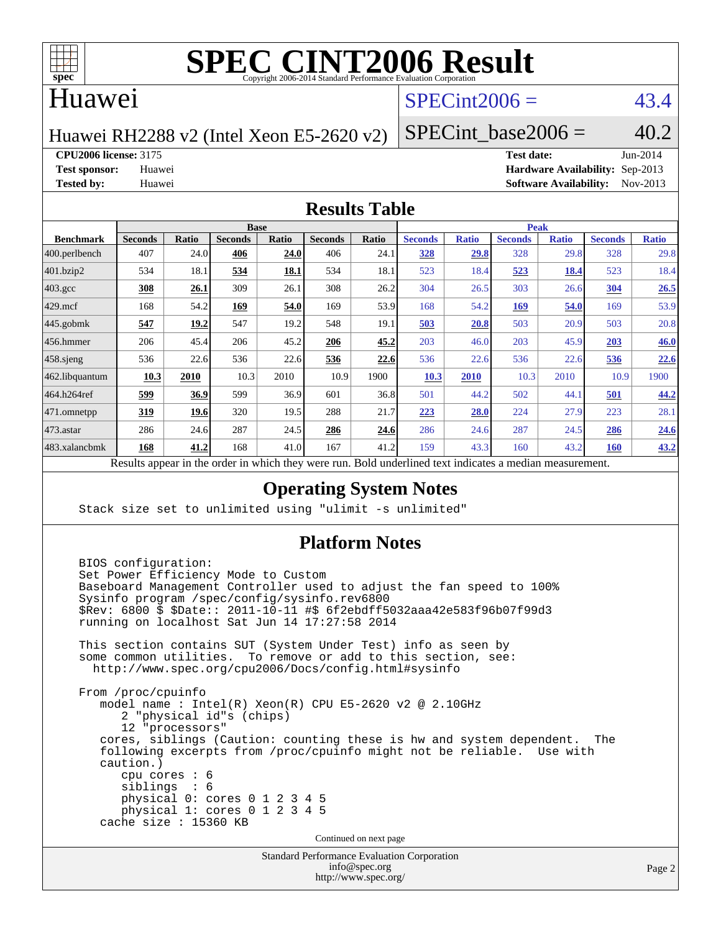

#### Huawei

### $SPECint2006 = 43.4$  $SPECint2006 = 43.4$

Huawei RH2288 v2 (Intel Xeon E5-2620 v2)

SPECint base2006 =  $40.2$ 

**[CPU2006 license:](http://www.spec.org/auto/cpu2006/Docs/result-fields.html#CPU2006license)** 3175 **[Test date:](http://www.spec.org/auto/cpu2006/Docs/result-fields.html#Testdate)** Jun-2014

**[Test sponsor:](http://www.spec.org/auto/cpu2006/Docs/result-fields.html#Testsponsor)** Huawei **[Hardware Availability:](http://www.spec.org/auto/cpu2006/Docs/result-fields.html#HardwareAvailability)** Sep-2013 **[Tested by:](http://www.spec.org/auto/cpu2006/Docs/result-fields.html#Testedby)** Huawei **[Software Availability:](http://www.spec.org/auto/cpu2006/Docs/result-fields.html#SoftwareAvailability)** Nov-2013

#### **[Results Table](http://www.spec.org/auto/cpu2006/Docs/result-fields.html#ResultsTable)**

|                    |                                                   |                | <b>Base</b>    |              |                |              |                                                     |              |                | <b>Peak</b>  |                |              |
|--------------------|---------------------------------------------------|----------------|----------------|--------------|----------------|--------------|-----------------------------------------------------|--------------|----------------|--------------|----------------|--------------|
| <b>Benchmark</b>   | <b>Seconds</b>                                    | Ratio          | <b>Seconds</b> | <b>Ratio</b> | <b>Seconds</b> | <b>Ratio</b> | <b>Seconds</b>                                      | <b>Ratio</b> | <b>Seconds</b> | <b>Ratio</b> | <b>Seconds</b> | <b>Ratio</b> |
| $400$ .perlbench   | 407                                               | 24.0           | 406            | 24.0         | 406            | 24.1         | <u>328</u>                                          | 29.8         | 328            | 29.8         | 328            | 29.8         |
| 401.bzip2          | 534                                               | 18.1           | 534            | 18.1         | 534            | 18.1         | 523                                                 | 18.4         | 523            | 18.4         | 523            | 18.4         |
| $403.\mathrm{gcc}$ | 308                                               | 26.1           | 309            | 26.1         | 308            | 26.2         | 304                                                 | 26.5         | 303            | 26.6         | 304            | 26.5         |
| $429$ .mcf         | 168                                               | 54.2           | 169            | 54.0         | 169            | 53.9         | 168                                                 | 54.2         | <u>169</u>     | 54.0         | 169            | 53.9         |
| $445$ .gobmk       | 547                                               | <u> 19.2  </u> | 547            | 19.2         | 548            | 19.1         | 503                                                 | 20.8         | 503            | 20.9         | 503            | 20.8         |
| $456.$ hmmer       | 206                                               | 45.4           | 206            | 45.2         | 206            | 45.2         | 203                                                 | 46.0         | 203            | 45.9         | 203            | 46.0         |
| $458$ .sjeng       | 536                                               | 22.6           | 536            | 22.6         | 536            | 22.6         | 536                                                 | 22.6         | 536            | 22.6         | 536            | 22.6         |
| 462.libquantum     | 10.3                                              | 2010           | 10.3           | 2010         | 10.9           | 1900         | 10.3                                                | 2010         | 10.3           | 2010         | 10.9           | 1900         |
| 464.h264ref        | <u>599</u>                                        | 36.9           | 599            | 36.9         | 601            | 36.8         | 501                                                 | 44.2         | 502            | 44.1         | 501            | 44.2         |
| 471.omnetpp        | <u>319</u>                                        | 19.6           | 320            | 19.5         | 288            | 21.7         | 223                                                 | 28.0         | 224            | 27.9         | 223            | 28.1         |
| $473$ . astar      | 286                                               | 24.6           | 287            | 24.5         | 286            | 24.6         | 286                                                 | 24.6         | 287            | 24.5         | 286            | 24.6         |
| 483.xalancbmk      | 168                                               | 41.2           | 168            | 41.0         | 167            | 41.2         | 159                                                 | 43.3         | 160            | 43.2         | <b>160</b>     | 43.2         |
|                    | Decute conceal in the order in which they were my |                |                |              |                |              | Dold underlined text indicates a madien massurement |              |                |              |                |              |

Results appear in the [order in which they were run.](http://www.spec.org/auto/cpu2006/Docs/result-fields.html#RunOrder) Bold underlined text [indicates a median measurement.](http://www.spec.org/auto/cpu2006/Docs/result-fields.html#Median)

#### **[Operating System Notes](http://www.spec.org/auto/cpu2006/Docs/result-fields.html#OperatingSystemNotes)**

Stack size set to unlimited using "ulimit -s unlimited"

#### **[Platform Notes](http://www.spec.org/auto/cpu2006/Docs/result-fields.html#PlatformNotes)**

Standard Performance Evaluation Corporation BIOS configuration: Set Power Efficiency Mode to Custom Baseboard Management Controller used to adjust the fan speed to 100% Sysinfo program /spec/config/sysinfo.rev6800 \$Rev: 6800 \$ \$Date:: 2011-10-11 #\$ 6f2ebdff5032aaa42e583f96b07f99d3 running on localhost Sat Jun 14 17:27:58 2014 This section contains SUT (System Under Test) info as seen by some common utilities. To remove or add to this section, see: <http://www.spec.org/cpu2006/Docs/config.html#sysinfo> From /proc/cpuinfo model name : Intel(R) Xeon(R) CPU E5-2620 v2 @ 2.10GHz 2 "physical id"s (chips) 12 "processors" cores, siblings (Caution: counting these is hw and system dependent. The following excerpts from /proc/cpuinfo might not be reliable. Use with caution.) cpu cores : 6 siblings : 6 physical 0: cores 0 1 2 3 4 5 physical 1: cores 0 1 2 3 4 5 cache size : 15360 KB Continued on next page

[info@spec.org](mailto:info@spec.org) <http://www.spec.org/>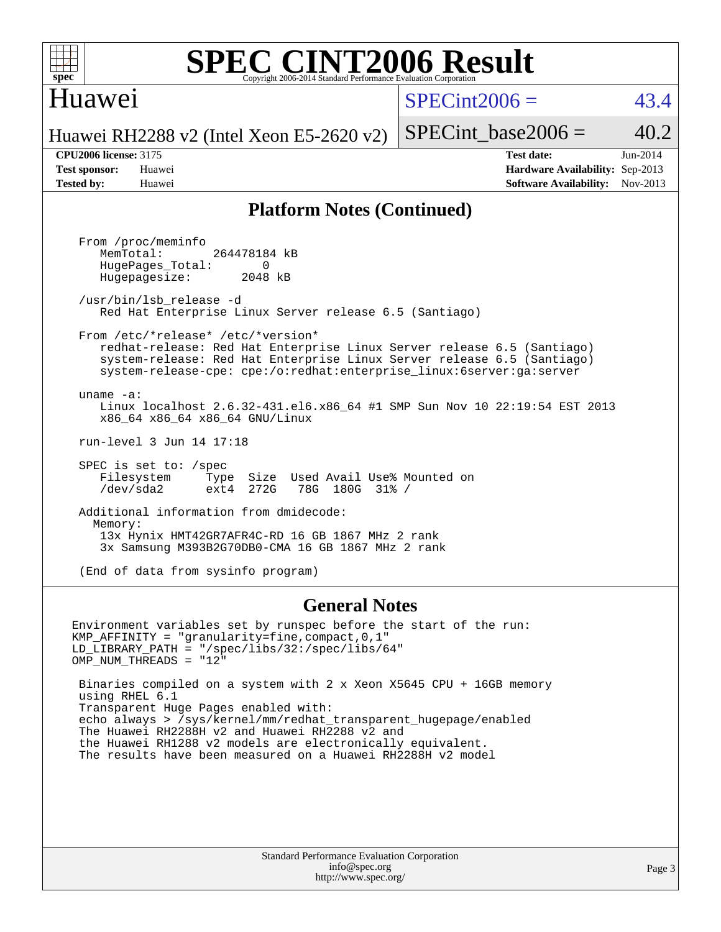

#### **[SPEC CINT2006 Result](http://www.spec.org/auto/cpu2006/Docs/result-fields.html#SPECCINT2006Result)** Copyright 2006-2014 Standard Performance Evaluation Corpor

#### Huawei

 $SPECint2006 = 43.4$  $SPECint2006 = 43.4$ 

Huawei RH2288 v2 (Intel Xeon E5-2620 v2)

SPECint base2006 =  $40.2$ 

**[CPU2006 license:](http://www.spec.org/auto/cpu2006/Docs/result-fields.html#CPU2006license)** 3175 **[Test date:](http://www.spec.org/auto/cpu2006/Docs/result-fields.html#Testdate)** Jun-2014 **[Test sponsor:](http://www.spec.org/auto/cpu2006/Docs/result-fields.html#Testsponsor)** Huawei **[Hardware Availability:](http://www.spec.org/auto/cpu2006/Docs/result-fields.html#HardwareAvailability)** Sep-2013 **[Tested by:](http://www.spec.org/auto/cpu2006/Docs/result-fields.html#Testedby)** Huawei **[Software Availability:](http://www.spec.org/auto/cpu2006/Docs/result-fields.html#SoftwareAvailability)** Nov-2013

#### **[Platform Notes \(Continued\)](http://www.spec.org/auto/cpu2006/Docs/result-fields.html#PlatformNotes)**

 From /proc/meminfo MemTotal: 264478184 kB HugePages\_Total: 0<br>Hugepagesize: 2048 kB Hugepagesize: /usr/bin/lsb\_release -d Red Hat Enterprise Linux Server release 6.5 (Santiago) From /etc/\*release\* /etc/\*version\* redhat-release: Red Hat Enterprise Linux Server release 6.5 (Santiago) system-release: Red Hat Enterprise Linux Server release 6.5 (Santiago) system-release-cpe: cpe:/o:redhat:enterprise\_linux:6server:ga:server uname -a: Linux localhost 2.6.32-431.el6.x86\_64 #1 SMP Sun Nov 10 22:19:54 EST 2013 x86\_64 x86\_64 x86\_64 GNU/Linux run-level 3 Jun 14 17:18 SPEC is set to: /spec Filesystem Type Size Used Avail Use% Mounted on<br>
/dev/sda2 ext4 272G 78G 180G 31% / 78G 180G 31% / Additional information from dmidecode: Memory: 13x Hynix HMT42GR7AFR4C-RD 16 GB 1867 MHz 2 rank 3x Samsung M393B2G70DB0-CMA 16 GB 1867 MHz 2 rank

(End of data from sysinfo program)

#### **[General Notes](http://www.spec.org/auto/cpu2006/Docs/result-fields.html#GeneralNotes)**

Environment variables set by runspec before the start of the run: KMP\_AFFINITY = "granularity=fine,compact,0,1" LD\_LIBRARY\_PATH = "/spec/libs/32:/spec/libs/64" OMP\_NUM\_THREADS = "12"

 Binaries compiled on a system with 2 x Xeon X5645 CPU + 16GB memory using RHEL 6.1 Transparent Huge Pages enabled with: echo always > /sys/kernel/mm/redhat\_transparent\_hugepage/enabled The Huawei RH2288H v2 and Huawei RH2288 v2 and the Huawei RH1288 v2 models are electronically equivalent. The results have been measured on a Huawei RH2288H v2 model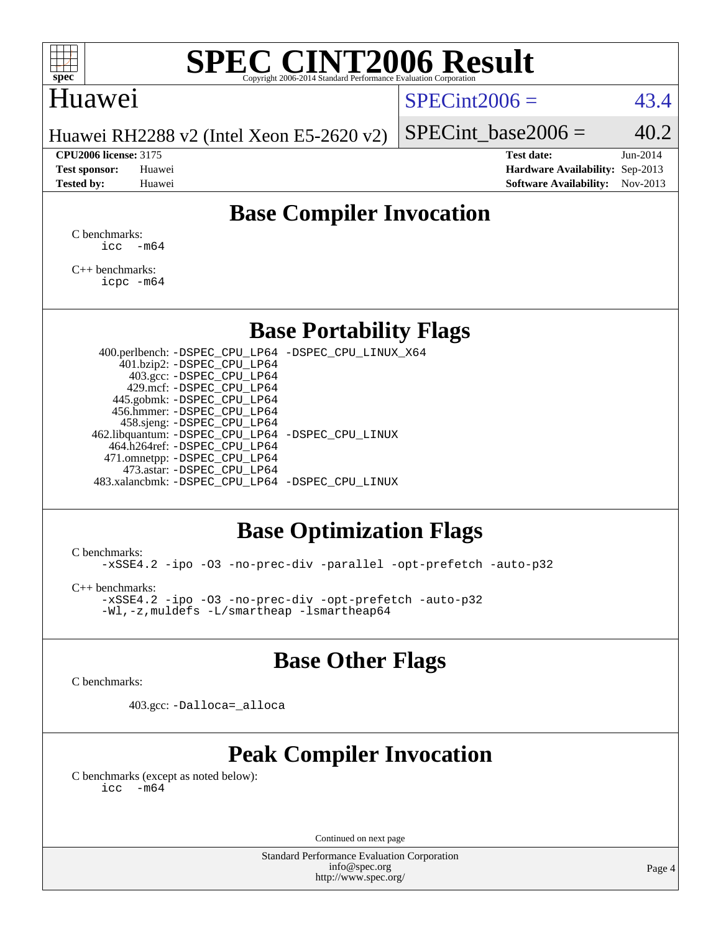

#### Huawei

#### $SPECint2006 = 43.4$  $SPECint2006 = 43.4$

Huawei RH2288 v2 (Intel Xeon E5-2620 v2)

**[CPU2006 license:](http://www.spec.org/auto/cpu2006/Docs/result-fields.html#CPU2006license)** 3175 **[Test date:](http://www.spec.org/auto/cpu2006/Docs/result-fields.html#Testdate)** Jun-2014

SPECint base2006 =  $40.2$ 

**[Test sponsor:](http://www.spec.org/auto/cpu2006/Docs/result-fields.html#Testsponsor)** Huawei **[Hardware Availability:](http://www.spec.org/auto/cpu2006/Docs/result-fields.html#HardwareAvailability)** Sep-2013 **[Tested by:](http://www.spec.org/auto/cpu2006/Docs/result-fields.html#Testedby)** Huawei **[Software Availability:](http://www.spec.org/auto/cpu2006/Docs/result-fields.html#SoftwareAvailability)** Nov-2013

### **[Base Compiler Invocation](http://www.spec.org/auto/cpu2006/Docs/result-fields.html#BaseCompilerInvocation)**

[C benchmarks](http://www.spec.org/auto/cpu2006/Docs/result-fields.html#Cbenchmarks):  $\text{icc}$   $-\text{m64}$ 

[C++ benchmarks:](http://www.spec.org/auto/cpu2006/Docs/result-fields.html#CXXbenchmarks) [icpc -m64](http://www.spec.org/cpu2006/results/res2014q3/cpu2006-20140628-30049.flags.html#user_CXXbase_intel_icpc_64bit_fc66a5337ce925472a5c54ad6a0de310)

#### **[Base Portability Flags](http://www.spec.org/auto/cpu2006/Docs/result-fields.html#BasePortabilityFlags)**

 400.perlbench: [-DSPEC\\_CPU\\_LP64](http://www.spec.org/cpu2006/results/res2014q3/cpu2006-20140628-30049.flags.html#b400.perlbench_basePORTABILITY_DSPEC_CPU_LP64) [-DSPEC\\_CPU\\_LINUX\\_X64](http://www.spec.org/cpu2006/results/res2014q3/cpu2006-20140628-30049.flags.html#b400.perlbench_baseCPORTABILITY_DSPEC_CPU_LINUX_X64) 401.bzip2: [-DSPEC\\_CPU\\_LP64](http://www.spec.org/cpu2006/results/res2014q3/cpu2006-20140628-30049.flags.html#suite_basePORTABILITY401_bzip2_DSPEC_CPU_LP64) 403.gcc: [-DSPEC\\_CPU\\_LP64](http://www.spec.org/cpu2006/results/res2014q3/cpu2006-20140628-30049.flags.html#suite_basePORTABILITY403_gcc_DSPEC_CPU_LP64) 429.mcf: [-DSPEC\\_CPU\\_LP64](http://www.spec.org/cpu2006/results/res2014q3/cpu2006-20140628-30049.flags.html#suite_basePORTABILITY429_mcf_DSPEC_CPU_LP64) 445.gobmk: [-DSPEC\\_CPU\\_LP64](http://www.spec.org/cpu2006/results/res2014q3/cpu2006-20140628-30049.flags.html#suite_basePORTABILITY445_gobmk_DSPEC_CPU_LP64) 456.hmmer: [-DSPEC\\_CPU\\_LP64](http://www.spec.org/cpu2006/results/res2014q3/cpu2006-20140628-30049.flags.html#suite_basePORTABILITY456_hmmer_DSPEC_CPU_LP64) 458.sjeng: [-DSPEC\\_CPU\\_LP64](http://www.spec.org/cpu2006/results/res2014q3/cpu2006-20140628-30049.flags.html#suite_basePORTABILITY458_sjeng_DSPEC_CPU_LP64) 462.libquantum: [-DSPEC\\_CPU\\_LP64](http://www.spec.org/cpu2006/results/res2014q3/cpu2006-20140628-30049.flags.html#suite_basePORTABILITY462_libquantum_DSPEC_CPU_LP64) [-DSPEC\\_CPU\\_LINUX](http://www.spec.org/cpu2006/results/res2014q3/cpu2006-20140628-30049.flags.html#b462.libquantum_baseCPORTABILITY_DSPEC_CPU_LINUX) 464.h264ref: [-DSPEC\\_CPU\\_LP64](http://www.spec.org/cpu2006/results/res2014q3/cpu2006-20140628-30049.flags.html#suite_basePORTABILITY464_h264ref_DSPEC_CPU_LP64) 471.omnetpp: [-DSPEC\\_CPU\\_LP64](http://www.spec.org/cpu2006/results/res2014q3/cpu2006-20140628-30049.flags.html#suite_basePORTABILITY471_omnetpp_DSPEC_CPU_LP64) 473.astar: [-DSPEC\\_CPU\\_LP64](http://www.spec.org/cpu2006/results/res2014q3/cpu2006-20140628-30049.flags.html#suite_basePORTABILITY473_astar_DSPEC_CPU_LP64) 483.xalancbmk: [-DSPEC\\_CPU\\_LP64](http://www.spec.org/cpu2006/results/res2014q3/cpu2006-20140628-30049.flags.html#suite_basePORTABILITY483_xalancbmk_DSPEC_CPU_LP64) [-DSPEC\\_CPU\\_LINUX](http://www.spec.org/cpu2006/results/res2014q3/cpu2006-20140628-30049.flags.html#b483.xalancbmk_baseCXXPORTABILITY_DSPEC_CPU_LINUX)

#### **[Base Optimization Flags](http://www.spec.org/auto/cpu2006/Docs/result-fields.html#BaseOptimizationFlags)**

[C benchmarks](http://www.spec.org/auto/cpu2006/Docs/result-fields.html#Cbenchmarks):

[-xSSE4.2](http://www.spec.org/cpu2006/results/res2014q3/cpu2006-20140628-30049.flags.html#user_CCbase_f-xSSE42_f91528193cf0b216347adb8b939d4107) [-ipo](http://www.spec.org/cpu2006/results/res2014q3/cpu2006-20140628-30049.flags.html#user_CCbase_f-ipo) [-O3](http://www.spec.org/cpu2006/results/res2014q3/cpu2006-20140628-30049.flags.html#user_CCbase_f-O3) [-no-prec-div](http://www.spec.org/cpu2006/results/res2014q3/cpu2006-20140628-30049.flags.html#user_CCbase_f-no-prec-div) [-parallel](http://www.spec.org/cpu2006/results/res2014q3/cpu2006-20140628-30049.flags.html#user_CCbase_f-parallel) [-opt-prefetch](http://www.spec.org/cpu2006/results/res2014q3/cpu2006-20140628-30049.flags.html#user_CCbase_f-opt-prefetch) [-auto-p32](http://www.spec.org/cpu2006/results/res2014q3/cpu2006-20140628-30049.flags.html#user_CCbase_f-auto-p32)

[C++ benchmarks:](http://www.spec.org/auto/cpu2006/Docs/result-fields.html#CXXbenchmarks)

[-xSSE4.2](http://www.spec.org/cpu2006/results/res2014q3/cpu2006-20140628-30049.flags.html#user_CXXbase_f-xSSE42_f91528193cf0b216347adb8b939d4107) [-ipo](http://www.spec.org/cpu2006/results/res2014q3/cpu2006-20140628-30049.flags.html#user_CXXbase_f-ipo) [-O3](http://www.spec.org/cpu2006/results/res2014q3/cpu2006-20140628-30049.flags.html#user_CXXbase_f-O3) [-no-prec-div](http://www.spec.org/cpu2006/results/res2014q3/cpu2006-20140628-30049.flags.html#user_CXXbase_f-no-prec-div) [-opt-prefetch](http://www.spec.org/cpu2006/results/res2014q3/cpu2006-20140628-30049.flags.html#user_CXXbase_f-opt-prefetch) [-auto-p32](http://www.spec.org/cpu2006/results/res2014q3/cpu2006-20140628-30049.flags.html#user_CXXbase_f-auto-p32) [-Wl,-z,muldefs](http://www.spec.org/cpu2006/results/res2014q3/cpu2006-20140628-30049.flags.html#user_CXXbase_link_force_multiple1_74079c344b956b9658436fd1b6dd3a8a) [-L/smartheap -lsmartheap64](http://www.spec.org/cpu2006/results/res2014q3/cpu2006-20140628-30049.flags.html#user_CXXbase_SmartHeap64_5e654037dadeae1fe403ab4b4466e60b)

#### **[Base Other Flags](http://www.spec.org/auto/cpu2006/Docs/result-fields.html#BaseOtherFlags)**

[C benchmarks](http://www.spec.org/auto/cpu2006/Docs/result-fields.html#Cbenchmarks):

403.gcc: [-Dalloca=\\_alloca](http://www.spec.org/cpu2006/results/res2014q3/cpu2006-20140628-30049.flags.html#b403.gcc_baseEXTRA_CFLAGS_Dalloca_be3056838c12de2578596ca5467af7f3)

### **[Peak Compiler Invocation](http://www.spec.org/auto/cpu2006/Docs/result-fields.html#PeakCompilerInvocation)**

[C benchmarks \(except as noted below\)](http://www.spec.org/auto/cpu2006/Docs/result-fields.html#Cbenchmarksexceptasnotedbelow):  $\text{icc}$  -m64

Continued on next page

Standard Performance Evaluation Corporation [info@spec.org](mailto:info@spec.org) <http://www.spec.org/>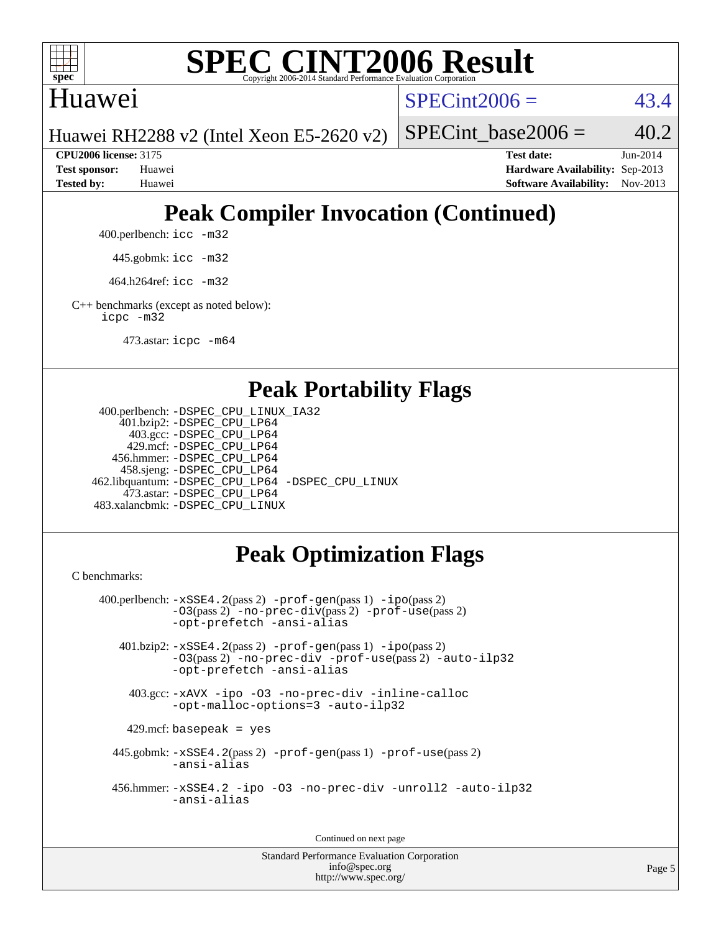

#### Huawei

 $SPECint2006 = 43.4$  $SPECint2006 = 43.4$ 

Huawei RH2288 v2 (Intel Xeon E5-2620 v2)

SPECint base2006 =  $40.2$ 

**[CPU2006 license:](http://www.spec.org/auto/cpu2006/Docs/result-fields.html#CPU2006license)** 3175 **[Test date:](http://www.spec.org/auto/cpu2006/Docs/result-fields.html#Testdate)** Jun-2014 **[Test sponsor:](http://www.spec.org/auto/cpu2006/Docs/result-fields.html#Testsponsor)** Huawei **[Hardware Availability:](http://www.spec.org/auto/cpu2006/Docs/result-fields.html#HardwareAvailability)** Sep-2013 **[Tested by:](http://www.spec.org/auto/cpu2006/Docs/result-fields.html#Testedby)** Huawei **[Software Availability:](http://www.spec.org/auto/cpu2006/Docs/result-fields.html#SoftwareAvailability)** Nov-2013

# **[Peak Compiler Invocation \(Continued\)](http://www.spec.org/auto/cpu2006/Docs/result-fields.html#PeakCompilerInvocation)**

400.perlbench: [icc -m32](http://www.spec.org/cpu2006/results/res2014q3/cpu2006-20140628-30049.flags.html#user_peakCCLD400_perlbench_intel_icc_a6a621f8d50482236b970c6ac5f55f93)

445.gobmk: [icc -m32](http://www.spec.org/cpu2006/results/res2014q3/cpu2006-20140628-30049.flags.html#user_peakCCLD445_gobmk_intel_icc_a6a621f8d50482236b970c6ac5f55f93)

464.h264ref: [icc -m32](http://www.spec.org/cpu2006/results/res2014q3/cpu2006-20140628-30049.flags.html#user_peakCCLD464_h264ref_intel_icc_a6a621f8d50482236b970c6ac5f55f93)

[C++ benchmarks \(except as noted below\):](http://www.spec.org/auto/cpu2006/Docs/result-fields.html#CXXbenchmarksexceptasnotedbelow) [icpc -m32](http://www.spec.org/cpu2006/results/res2014q3/cpu2006-20140628-30049.flags.html#user_CXXpeak_intel_icpc_4e5a5ef1a53fd332b3c49e69c3330699)

473.astar: [icpc -m64](http://www.spec.org/cpu2006/results/res2014q3/cpu2006-20140628-30049.flags.html#user_peakCXXLD473_astar_intel_icpc_64bit_fc66a5337ce925472a5c54ad6a0de310)

#### **[Peak Portability Flags](http://www.spec.org/auto/cpu2006/Docs/result-fields.html#PeakPortabilityFlags)**

```
 400.perlbench: -DSPEC_CPU_LINUX_IA32
     401.bzip2: -DSPEC_CPU_LP64
       403.gcc: -DSPEC_CPU_LP64
      429.mcf: -DSPEC_CPU_LP64
    456.hmmer: -DSPEC_CPU_LP64
     458.sjeng: -DSPEC_CPU_LP64
 462.libquantum: -DSPEC_CPU_LP64 -DSPEC_CPU_LINUX
      473.astar: -DSPEC_CPU_LP64
 483.xalancbmk: -DSPEC_CPU_LINUX
```
## **[Peak Optimization Flags](http://www.spec.org/auto/cpu2006/Docs/result-fields.html#PeakOptimizationFlags)**

[C benchmarks](http://www.spec.org/auto/cpu2006/Docs/result-fields.html#Cbenchmarks):

```
 400.perlbench: -xSSE4.2(pass 2) -prof-gen(pass 1) -ipo(pass 2)
            -O3(pass 2) -no-prec-div(pass 2) -prof-use(pass 2)
           -opt-prefetch -ansi-alias
    401.bzip2: -xSSE4.2(pass 2) -prof-gen(pass 1) -ipo(pass 2)
            -O3(pass 2) -no-prec-div -prof-use(pass 2) -auto-ilp32
            -opt-prefetch -ansi-alias
     403.gcc: -xAVX -ipo -O3 -no-prec-div -inline-calloc
            -opt-malloc-options=3 -auto-ilp32
    429.mcf: basepeak = yes
   445.gobmk: -xSSE4.2(pass 2) -prof-gen(pass 1) -prof-use(pass 2)
            -ansi-alias
   456.hmmer: -xSSE4.2 -ipo -O3 -no-prec-div -unroll2 -auto-ilp32
            -ansi-alias
```
Continued on next page

Standard Performance Evaluation Corporation [info@spec.org](mailto:info@spec.org) <http://www.spec.org/>